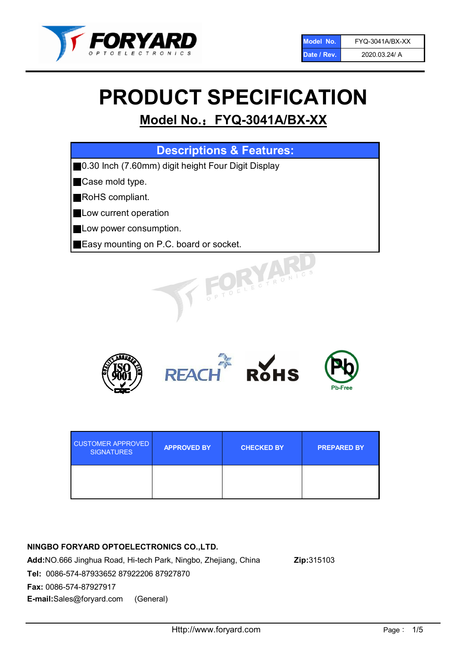

# PRODUCT SPECIFICATION

## Model No.: FYQ-3041A/BX-XX

| <b>Descriptions &amp; Features:</b>                |
|----------------------------------------------------|
| 0.30 Inch (7.60mm) digit height Four Digit Display |
| Case mold type.                                    |
| RoHS compliant.                                    |
| Low current operation                              |
| Low power consumption.                             |
| Easy mounting on P.C. board or socket.             |
| TOELECTRONIC.                                      |



| <b>CUSTOMER APPROVED</b><br><b>SIGNATURES</b> | <b>APPROVED BY</b> | <b>CHECKED BY</b> | <b>PREPARED BY</b> |
|-----------------------------------------------|--------------------|-------------------|--------------------|
|                                               |                    |                   |                    |

#### NINGBO FORYARD OPTOELECTRONICS CO.,LTD.

Add:NO.666 Jinghua Road, Hi-tech Park, Ningbo, Zhejiang, China Zip:315103 Tel: 0086-574-87933652 87922206 87927870 Fax: 0086-574-87927917 E-mail:Sales@foryard.com (General)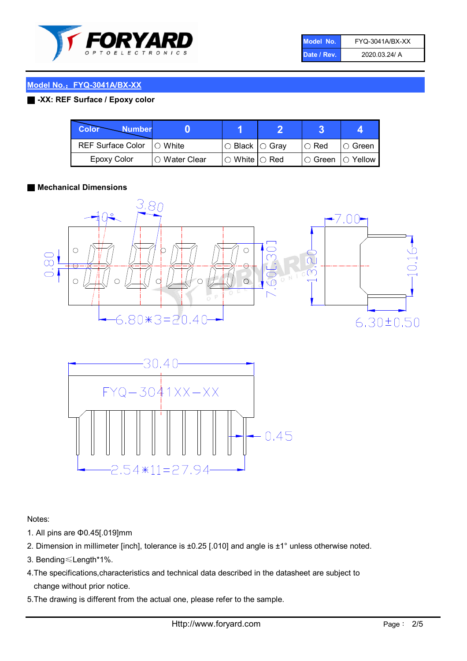

| Model No.   | FYQ-3041A/BX-XX |
|-------------|-----------------|
| Date / Rev. | 2020.03.24/ A   |

#### ■ -XX: REF Surface / Epoxy color

| <b>Color</b><br><b>Number</b> |               |                           |                   |               |
|-------------------------------|---------------|---------------------------|-------------------|---------------|
| REF Surface Color   O White   |               | ○ Black  ○ Gray           | $\circ$ Red       | $\circ$ Green |
| <b>Epoxy Color</b>            | ○ Water Clear | $\circ$ White $\circ$ Red | ○ Green  ○ Yellow |               |

#### ■ Mechanical Dimensions





Notes:

- 1. All pins are Φ0.45[.019]mm
- 2. Dimension in millimeter [inch], tolerance is ±0.25 [.010] and angle is ±1° unless otherwise noted.
- 3. Bending≤Length\*1%.
- 4.The specifications,characteristics and technical data described in the datasheet are subject to change without prior notice.
- 5.The drawing is different from the actual one, please refer to the sample.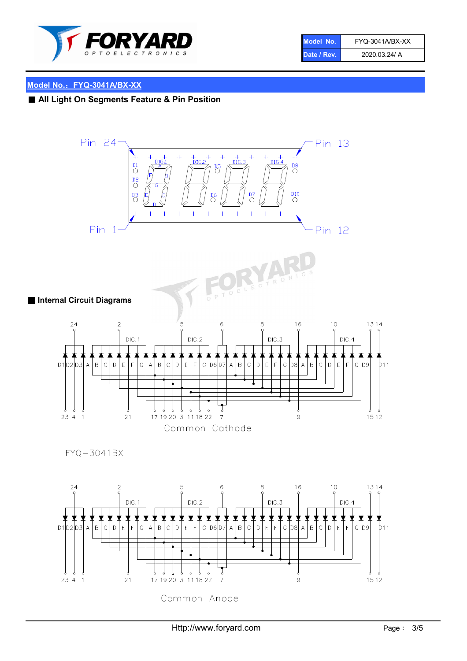

| Model No.   | FYQ-3041A/BX-XX |
|-------------|-----------------|
| Date / Rev. | 2020.03.24/ A   |

### ■ All Light On Segments Feature & Pin Position

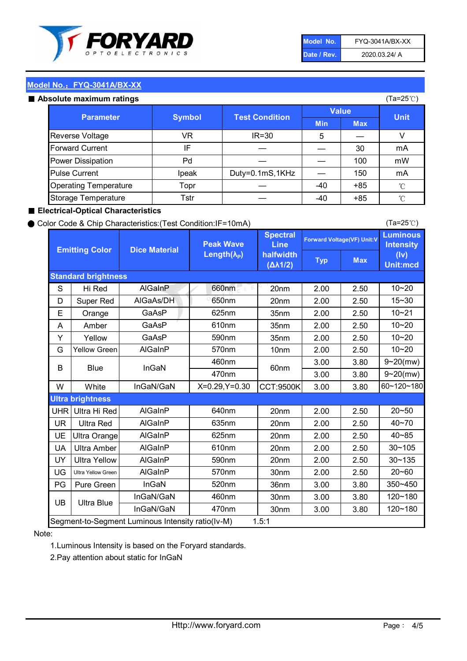

| Model No.   | FYQ-3041A/BX-XX |
|-------------|-----------------|
| Date / Rev. | 2020.03.24/ A   |

#### Absolute maximum

| ISUIULU IIIAAIIIIUIIII TALIIIYS |               |                       |              | (⊺a−∠J ∪ <i>)</i> |              |
|---------------------------------|---------------|-----------------------|--------------|-------------------|--------------|
| <b>Parameter</b>                | <b>Symbol</b> | <b>Test Condition</b> | <b>Value</b> |                   | <b>Unit</b>  |
|                                 |               |                       | <b>Min</b>   | <b>Max</b>        |              |
| Reverse Voltage                 | VR            | $IR = 30$             | 5            |                   |              |
| <b>Forward Current</b>          | ΙF            |                       |              | 30                | mA           |
| Power Dissipation               | Pd            |                       |              | 100               | mW           |
| <b>Pulse Current</b>            | Ipeak         | Duty=0.1mS,1KHz       |              | 150               | mA           |
| <b>Operating Temperature</b>    | Topr          |                       | $-40$        | $+85$             | $^{\circ}$ C |
| Storage Temperature             | Tstr          |                       | $-40$        | $+85$             | °C           |

#### ■ Electrical-Optical Characteristics

#### ● Color Code & Chip Characteristics:(Test Condition:IF=10mA)

Typ Max S | Hi $\textsf{Red}$  | AlGaInP | 660nm LE 20nm | 2.00 | 2.50 D | Super Red | AIGaAs/DH | 650nm | 20nm | 2.00 | 2.50 E | Orange | GaAsP | 625nm | 35nm | 2.00 | 2.50 A | Amber | GaAsP | 610nm | 35nm | 2.00 | 2.50 Y | Yellow | GaAsP | 590nm | 35nm | 2.00 | 2.50 G Yellow Green AIGaInP | 570nm | 10nm | 2.00 | 2.50 3.00 3.80 3.00 3.80 W | White | InGaN/GaN | X=0.29,Y=0.30 |CCT:9500K| 3.00 | 3.80 UHR Ultra Hi Red  $\vert$  AIGaInP  $\vert$  640nm  $\vert$  20nm  $\vert$  2.00  $\vert$  2.50 UR | Ultra Red | AlGaInP | 635nm | 20nm | 2.00 | 2.50 UE Ultra Orange | AIGaInP | 625nm | 20nm | 2.00 | 2.50 UA Ultra Amber | AIGaInP | 610nm | 20nm | 2.00 | 2.50  $UV$  Ultra Yellow  $\vert$  AlGaInP  $\vert$  590nm  $\vert$  20nm  $\vert$  2.00  $\vert$  2.50  $\text{UG}$  Ultra Yellow Green | AIGaInP | 570nm | 30nm | 2.00 | 2.50 PG | Pure Green | InGaN | 520nm | 36nm | 3.00 | 3.80 30nm 3.00 3.80 30nm 3.00 3.80 10~20 Standard brightness Forward Voltage(VF) Unit:V 15~30 10~20 10~20 625nm GaAsP 590nm **Emitting Color Dice Material** 10~21 610nm Luminous **Intensity** (Iv) Unit:mcd AlGainP 660nm GaAsP GaAsP AlGaAs/DH **Spectral** Line halfwidth (∆λ1/2) Peak Wave Length $(\lambda_{\rm P})$ UB 460nm 635nm AlGaInP AlGaInP AlGaInP InGaN/GaN AlGaInP | 570nm | 10nm | 2.00 | 2.50 | 10~20 30~105 30~135 460nm 520nm Ultra brightness **AlGaInP** AlGaInP 60nm AlGaInP 640nm Segment-to-Segment Luminous Intensity ratio(Iv-M) 1.5:1 610nm 9~20(mw) 350~450 470nm 120~180 120~180 Ultra Blue InGaN/GaN 9~20(mw) 20~50 570nm | 30nm | 2.00 | 2.50 | 20~60 470nm 590nm InGaN/GaN B Blue I InGaN 40~85 60~120~180 40~70

#### Note:

1.Luminous Intensity is based on the Foryard standards.

2.Pay attention about static for InGaN

(Ta=25℃)

(Ta=25℃)